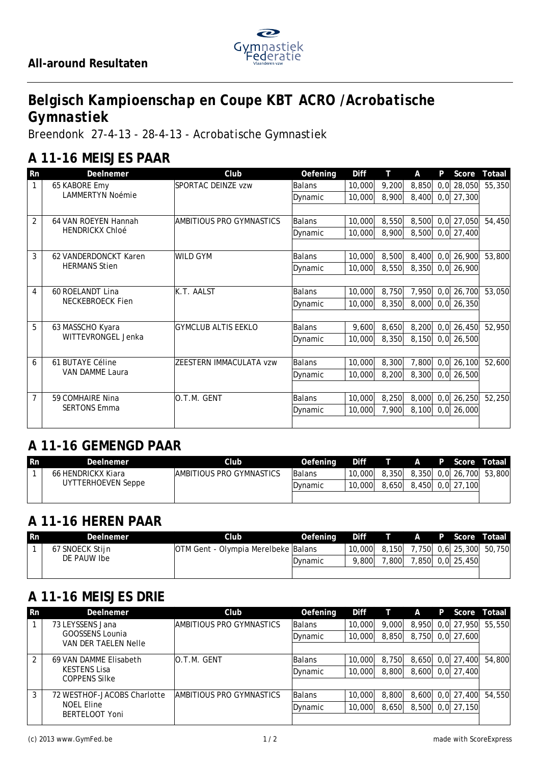

# *Belgisch Kampioenschap en Coupe KBT ACRO /Acrobatische Gymnastiek*

*Breendonk 27-4-13 - 28-4-13 - Acrobatische Gymnastiek*

## **A 11-16 MEISJES PAAR**

| Rn             | DeeInemer                              | Club                       | Oefening      | Diff   | Т     | A     | P    | Score        | Totaal |
|----------------|----------------------------------------|----------------------------|---------------|--------|-------|-------|------|--------------|--------|
|                | 65 KABORE Emy                          | SPORTAC DEINZE vzw         | Balans        | 10,000 | 9,200 | 8,850 | 0, 0 | 28,050       | 55,350 |
|                | <b>LAMMERTYN Noémie</b>                |                            | Dynamic       | 10,000 | 8,900 | 8,400 | 0, 0 | 27,300       |        |
|                |                                        |                            |               |        |       |       |      |              |        |
| $\overline{2}$ | 64 VAN ROEYEN Hannah                   | AMBITIOUS PRO GYMNASTICS   | <b>Balans</b> | 10,000 | 8,550 | 8,500 | 0, 0 | 27,050       | 54,450 |
|                | <b>HENDRICKX Chloé</b>                 |                            | Dynamic       | 10,000 | 8,900 | 8,500 |      | $0,0$ 27,400 |        |
|                |                                        |                            |               |        |       |       |      |              |        |
| 3              | 62 VANDERDONCKT Karen                  | <b>WILD GYM</b>            | <b>Balans</b> | 10,000 | 8,500 | 8,400 | 0, 0 | 26,900       | 53,800 |
|                | <b>HERMANS Stien</b>                   |                            | Dynamic       | 10,000 | 8,550 | 8,350 |      | $0,0$ 26,900 |        |
|                |                                        |                            |               |        |       |       |      |              |        |
| 4              | 60 ROELANDT Lina<br>NECKEBROECK Fien   | K.T. AALST                 | Balans        | 10,000 | 8,750 | 7,950 | 0, 0 | 26,700       | 53,050 |
|                |                                        |                            | Dynamic       | 10,000 | 8,350 | 8,000 |      | $0,0$ 26,350 |        |
|                |                                        |                            |               |        |       |       |      |              |        |
| 5              | 63 MASSCHO Kyara<br>WITTEVRONGEL Jenka | <b>GYMCLUB ALTIS EEKLO</b> | Balans        | 9,600  | 8,650 | 8,200 | 0, 0 | 26,450       | 52,950 |
|                |                                        |                            | Dynamic       | 10,000 | 8,350 | 8,150 |      | $0,0$ 26,500 |        |
|                |                                        |                            |               |        |       |       |      |              |        |
| 6              | 61 BUTAYE Céline                       | ZEESTERN IMMACULATA vzw    | <b>Balans</b> | 10,000 | 8,300 | 7,800 | 0, 0 | 26,100       | 52,600 |
|                | VAN DAMME Laura                        |                            | Dynamic       | 10,000 | 8,200 | 8,300 | 0, 0 | 26,500       |        |
|                |                                        |                            |               |        |       |       |      |              |        |
| $\overline{7}$ | 59 COMHAIRE Nina                       | O.T.M. GENT                | Balans        | 10,000 | 8,250 | 8,000 |      | $0,0$ 26,250 | 52,250 |
|                | <b>SERTONS Emma</b>                    |                            | Dynamic       | 10,000 | 7,900 | 8,100 | 0, 0 | 26,000       |        |
|                |                                        |                            |               |        |       |       |      |              |        |

# **A 11-16 GEMENGD PAAR**

| l Rn | Deelnemer          | :Iub                      | Oefening        | <b>Diff</b> |       | $\mathsf{A}$ | P Score          | Totaal I                      |
|------|--------------------|---------------------------|-----------------|-------------|-------|--------------|------------------|-------------------------------|
|      | 66 HENDRICKX Kiara | IAMBITIOUS PRO GYMNASTICS | <b>Balans</b>   | 10,000      |       |              |                  | 8,350 8,350 0,0 26,700 53,800 |
|      | UYTTERHOEVEN Seppe |                           | <b>IDvnamic</b> | 10,000      | 8,650 |              | 8,450 0,0 27,100 |                               |
|      |                    |                           |                 |             |       |              |                  |                               |

# **A 11-16 HEREN PAAR**

| <b>Rn</b> | Deelnemer       | Club                                | Oefening        | Diff   |       | ZAZ |                  | <b>P</b> Score Totaal   |
|-----------|-----------------|-------------------------------------|-----------------|--------|-------|-----|------------------|-------------------------|
|           | 67 SNOECK Stijn | OTM Gent - Olympia Merelbeke Balans |                 | 10,000 | 8.150 |     |                  | 7,750 0.6 25,300 50,750 |
|           | DE PAUW Ibe     |                                     | <b>IDvnamic</b> | 9.800  | .800  |     | 7,850 0,0 25,450 |                         |
|           |                 |                                     |                 |        |       |     |                  |                         |

# **A 11-16 MEISJES DRIE**

| <b>Rn</b>     | Deelnemer                   | Club                      | Oefening      | Diff   |       | A     | P | Score            | Totaal I |
|---------------|-----------------------------|---------------------------|---------------|--------|-------|-------|---|------------------|----------|
|               | 73 LEYSSENS Jana            | IAMBITIOUS PRO GYMNASTICS | <b>Balans</b> | 10,000 | 9,000 | 8,950 |   | $0,0$ 27,950     | 55,550   |
|               | GOOSSENS Lounia             |                           | Dynamic       | 10,000 | 8,850 |       |   | 8,750 0,0 27,600 |          |
|               | VAN DER TAELEN Nelle        |                           |               |        |       |       |   |                  |          |
| $\mathcal{P}$ | 69 VAN DAMME Elisabeth      | IO.T.M. GENT              | Balans        | 10,000 | 8.750 |       |   | 8,650 0,0 27,400 | 54,800   |
|               | <b>KESTENS Lisa</b>         |                           | Dynamic       | 10,000 | 8,800 |       |   | 8,600 0,0 27,400 |          |
|               | <b>COPPENS Silke</b>        |                           |               |        |       |       |   |                  |          |
| 3             | 72 WESTHOF-JACOBS Charlotte | IAMBITIOUS PRO GYMNASTICS | <b>Balans</b> | 10,000 | 8,800 |       |   | 8,600 0,0 27,400 | 54,550   |
|               | NOEL Eline                  |                           | Dynamic       | 10,000 | 8,650 | 8,500 |   | $0,0$ 27,150     |          |
|               | BERTELOOT Yoni              |                           |               |        |       |       |   |                  |          |